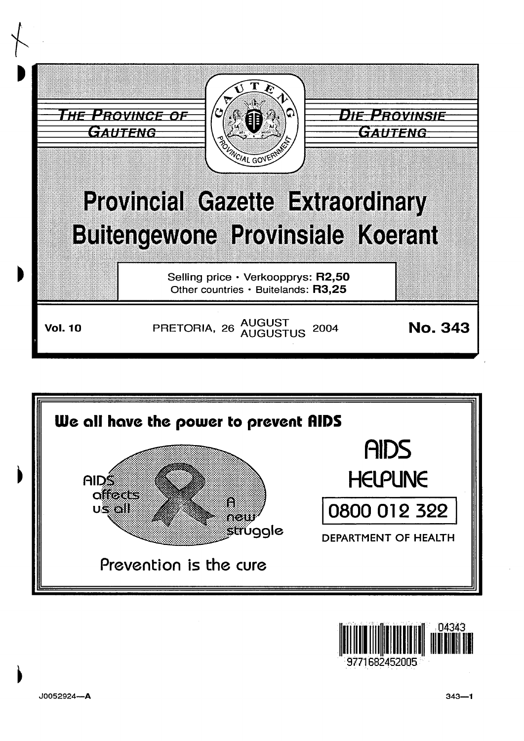